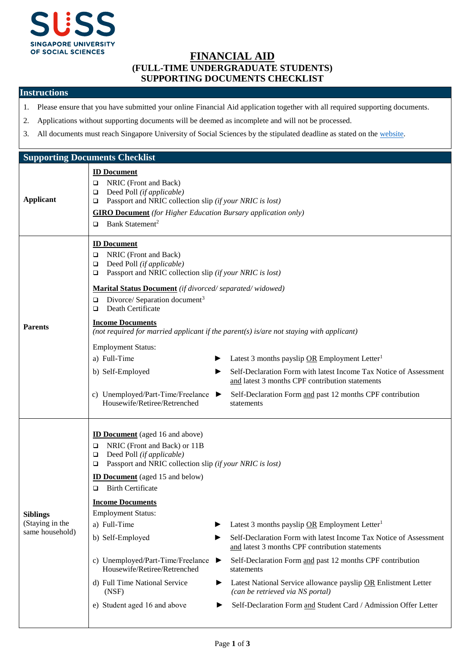

## **FINANCIAL AID (FULL-TIME UNDERGRADUATE STUDENTS) SUPPORTING DOCUMENTS CHECKLIST**

## **Instructions**

- 1. Please ensure that you have submitted your online Financial Aid application together with all required supporting documents.
- 2. Applications without supporting documents will be deemed as incomplete and will not be processed.
- 3. All documents must reach Singapore University of Social Sciences by the stipulated deadline as stated on th[e website.](https://www.suss.edu.sg/full-time-undergraduate/admissions/financial-aid)

| <b>Supporting Documents Checklist</b>                 |                                                                                                                                                                                                                                                                                                                                                                                                                                                                                                                                                                                                                                                                                                                                                                                                                                                                                                                                                                   |  |  |  |
|-------------------------------------------------------|-------------------------------------------------------------------------------------------------------------------------------------------------------------------------------------------------------------------------------------------------------------------------------------------------------------------------------------------------------------------------------------------------------------------------------------------------------------------------------------------------------------------------------------------------------------------------------------------------------------------------------------------------------------------------------------------------------------------------------------------------------------------------------------------------------------------------------------------------------------------------------------------------------------------------------------------------------------------|--|--|--|
| <b>Applicant</b>                                      | <b>ID Document</b><br>NRIC (Front and Back)<br>❏<br>Deed Poll (if applicable)<br>□<br>Passport and NRIC collection slip (if your NRIC is lost)<br>❏<br><b>GIRO Document</b> (for Higher Education Bursary application only)<br>Bank Statement <sup>2</sup><br>□                                                                                                                                                                                                                                                                                                                                                                                                                                                                                                                                                                                                                                                                                                   |  |  |  |
| <b>Parents</b>                                        | <b>ID Document</b><br>NRIC (Front and Back)<br>$\Box$<br>Deed Poll (if applicable)<br>□<br>Passport and NRIC collection slip (if your NRIC is lost)<br>□<br>Marital Status Document (if divorced/separated/widowed)<br>Divorce/ Separation document <sup>3</sup><br>□<br>Death Certificate<br>$\Box$<br><b>Income Documents</b><br>(not required for married applicant if the parent(s) is/are not staying with applicant)<br><b>Employment Status:</b><br>a) Full-Time<br>Latest 3 months payslip OR Employment Letter <sup>1</sup><br>Self-Declaration Form with latest Income Tax Notice of Assessment<br>b) Self-Employed<br>▶<br>and latest 3 months CPF contribution statements<br>c) Unemployed/Part-Time/Freelance<br>Self-Declaration Form and past 12 months CPF contribution<br>Housewife/Retiree/Retrenched<br>statements                                                                                                                             |  |  |  |
| <b>Siblings</b><br>(Staying in the<br>same household) | <b>ID Document</b> (aged 16 and above)<br>NRIC (Front and Back) or 11B<br>□<br>Deed Poll (if applicable)<br>❏<br>Passport and NRIC collection slip (if your NRIC is lost)<br>□<br><b>ID Document</b> (aged 15 and below)<br><b>Birth Certificate</b><br>□<br><b>Income Documents</b><br><b>Employment Status:</b><br>a) Full-Time<br>Latest 3 months payslip OR Employment Letter <sup>1</sup><br>Self-Declaration Form with latest Income Tax Notice of Assessment<br>b) Self-Employed<br>▶<br>and latest 3 months CPF contribution statements<br>c) Unemployed/Part-Time/Freelance<br>Self-Declaration Form and past 12 months CPF contribution<br>▶<br>Housewife/Retiree/Retrenched<br>statements<br>d) Full Time National Service<br>Latest National Service allowance payslip OR Enlistment Letter<br>▶<br>(can be retrieved via NS portal)<br>(NSF)<br>e) Student aged 16 and above<br>Self-Declaration Form and Student Card / Admission Offer Letter<br>▶ |  |  |  |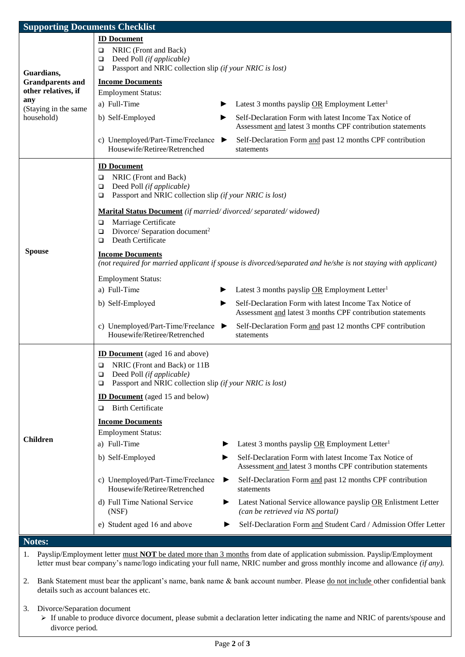| <b>Supporting Documents Checklist</b>                                                                                        |                                                                                                                                                                                         |                                                                                                                      |  |  |
|------------------------------------------------------------------------------------------------------------------------------|-----------------------------------------------------------------------------------------------------------------------------------------------------------------------------------------|----------------------------------------------------------------------------------------------------------------------|--|--|
| Guardians,                                                                                                                   | <b>ID Document</b><br>NRIC (Front and Back)<br>$\Box$<br>Deed Poll (if applicable)<br>$\Box$<br>Passport and NRIC collection slip (if your NRIC is lost)<br>$\Box$                      |                                                                                                                      |  |  |
| <b>Grandparents and</b>                                                                                                      | <b>Income Documents</b>                                                                                                                                                                 |                                                                                                                      |  |  |
| other relatives, if<br>any<br>(Staying in the same<br>household)                                                             | <b>Employment Status:</b>                                                                                                                                                               |                                                                                                                      |  |  |
|                                                                                                                              | a) Full-Time                                                                                                                                                                            | Latest 3 months payslip OR Employment Letter <sup>1</sup>                                                            |  |  |
|                                                                                                                              | b) Self-Employed                                                                                                                                                                        | Self-Declaration Form with latest Income Tax Notice of<br>Assessment and latest 3 months CPF contribution statements |  |  |
|                                                                                                                              | c) Unemployed/Part-Time/Freelance<br>▸<br>Housewife/Retiree/Retrenched                                                                                                                  | Self-Declaration Form and past 12 months CPF contribution<br>statements                                              |  |  |
| <b>Spouse</b>                                                                                                                | <b>ID Document</b><br>NRIC (Front and Back)<br>▫<br>Deed Poll (if applicable)<br>$\Box$<br>Passport and NRIC collection slip (if your NRIC is lost)<br>$\Box$                           |                                                                                                                      |  |  |
|                                                                                                                              | Marital Status Document (if married/divorced/separated/widowed)<br>Marriage Certificate<br>$\Box$<br>Divorce/ Separation document <sup>2</sup><br>$\Box$<br>Death Certificate<br>$\Box$ |                                                                                                                      |  |  |
|                                                                                                                              | <b>Income Documents</b><br>(not required for married applicant if spouse is divorced/separated and he/she is not staying with applicant)                                                |                                                                                                                      |  |  |
|                                                                                                                              | <b>Employment Status:</b>                                                                                                                                                               |                                                                                                                      |  |  |
|                                                                                                                              | a) Full-Time                                                                                                                                                                            | Latest 3 months payslip OR Employment Letter <sup>1</sup>                                                            |  |  |
|                                                                                                                              | b) Self-Employed                                                                                                                                                                        | Self-Declaration Form with latest Income Tax Notice of<br>Assessment and latest 3 months CPF contribution statements |  |  |
|                                                                                                                              | c) Unemployed/Part-Time/Freelance<br>▶<br>Housewife/Retiree/Retrenched                                                                                                                  | Self-Declaration Form and past 12 months CPF contribution<br>statements                                              |  |  |
| <b>Children</b>                                                                                                              | <b>ID Document</b> (aged 16 and above)<br>NRIC (Front and Back) or 11B<br>Q<br>Deed Poll (if applicable)<br>⊔<br>Passport and NRIC collection slip (if your NRIC is lost)<br>▫          |                                                                                                                      |  |  |
|                                                                                                                              | <b>ID Document</b> (aged 15 and below)<br><b>Birth Certificate</b><br>▫                                                                                                                 |                                                                                                                      |  |  |
|                                                                                                                              | <b>Income Documents</b><br><b>Employment Status:</b>                                                                                                                                    |                                                                                                                      |  |  |
|                                                                                                                              | a) Full-Time                                                                                                                                                                            | Latest 3 months payslip OR Employment Letter <sup>1</sup>                                                            |  |  |
|                                                                                                                              | b) Self-Employed                                                                                                                                                                        | Self-Declaration Form with latest Income Tax Notice of<br>Assessment and latest 3 months CPF contribution statements |  |  |
|                                                                                                                              | c) Unemployed/Part-Time/Freelance<br>▶<br>Housewife/Retiree/Retrenched                                                                                                                  | Self-Declaration Form and past 12 months CPF contribution<br>statements                                              |  |  |
|                                                                                                                              | d) Full Time National Service<br>▶<br>(NSF)                                                                                                                                             | Latest National Service allowance payslip OR Enlistment Letter<br>(can be retrieved via NS portal)                   |  |  |
|                                                                                                                              | e) Student aged 16 and above                                                                                                                                                            | Self-Declaration Form and Student Card / Admission Offer Letter                                                      |  |  |
| Notes:                                                                                                                       |                                                                                                                                                                                         |                                                                                                                      |  |  |
| Payslip/Employment letter must NOT be dated more than 3 months from date of application submission. Payslip/Employment<br>1. |                                                                                                                                                                                         |                                                                                                                      |  |  |
| letter must bear company's name/logo indicating your full name, NRIC number and gross monthly income and allowance (if any). |                                                                                                                                                                                         |                                                                                                                      |  |  |

2. Bank Statement must bear the applicant's name, bank name & bank account number. Please do not include other confidential bank details such as account balances etc.

3. Divorce/Separation document

 If unable to produce divorce document, please submit a declaration letter indicating the name and NRIC of parents/spouse and divorce period*.*